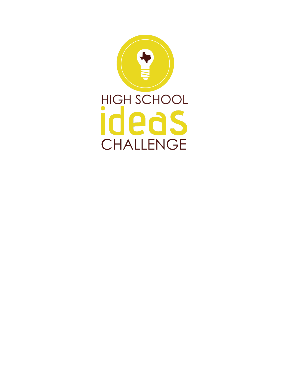